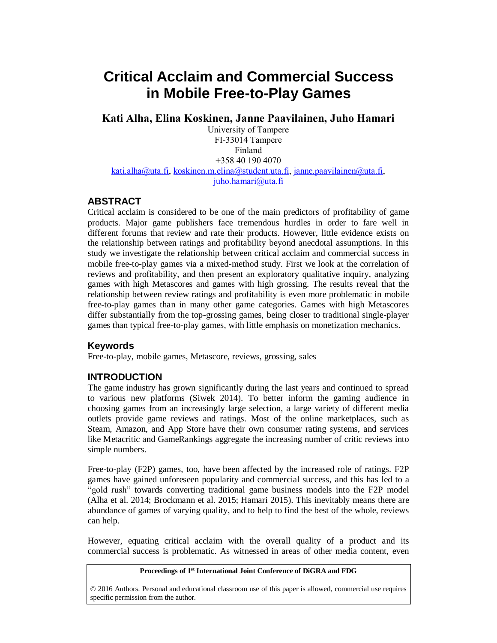# **Critical Acclaim and Commercial Success in Mobile Free-to-Play Games**

**Kati Alha, Elina Koskinen, Janne Paavilainen, Juho Hamari**

University of Tampere FI-33014 Tampere Finland +358 40 190 4070 [kati.alha@uta.fi,](mailto:kati.alha@uta.fi) [koskinen.m.elina@student.uta.fi,](mailto:koskinen.m.elina@student.uta.fi) [janne.paavilainen@uta.fi,](mailto:janne.paavilainen@uta.fi) [juho.](mailto:juho)hamari@uta.fi

## **ABSTRACT**

Critical acclaim is considered to be one of the main predictors of profitability of game products. Major game publishers face tremendous hurdles in order to fare well in different forums that review and rate their products. However, little evidence exists on the relationship between ratings and profitability beyond anecdotal assumptions. In this study we investigate the relationship between critical acclaim and commercial success in mobile free-to-play games via a mixed-method study. First we look at the correlation of reviews and profitability, and then present an exploratory qualitative inquiry, analyzing games with high Metascores and games with high grossing. The results reveal that the relationship between review ratings and profitability is even more problematic in mobile free-to-play games than in many other game categories. Games with high Metascores differ substantially from the top-grossing games, being closer to traditional single-player games than typical free-to-play games, with little emphasis on monetization mechanics.

#### **Keywords**

Free-to-play, mobile games, Metascore, reviews, grossing, sales

#### **INTRODUCTION**

The game industry has grown significantly during the last years and continued to spread to various new platforms (Siwek 2014). To better inform the gaming audience in choosing games from an increasingly large selection, a large variety of different media outlets provide game reviews and ratings. Most of the online marketplaces, such as Steam, Amazon, and App Store have their own consumer rating systems, and services like Metacritic and GameRankings aggregate the increasing number of critic reviews into simple numbers.

Free-to-play (F2P) games, too, have been affected by the increased role of ratings. F2P games have gained unforeseen popularity and commercial success, and this has led to a "gold rush" towards converting traditional game business models into the F2P model (Alha et al. 2014; Brockmann et al. 2015; Hamari 2015). This inevitably means there are abundance of games of varying quality, and to help to find the best of the whole, reviews can help.

However, equating critical acclaim with the overall quality of a product and its commercial success is problematic. As witnessed in areas of other media content, even

#### **Proceedings of 1st International Joint Conference of DiGRA and FDG**

© 2016 Authors. Personal and educational classroom use of this paper is allowed, commercial use requires specific permission from the author.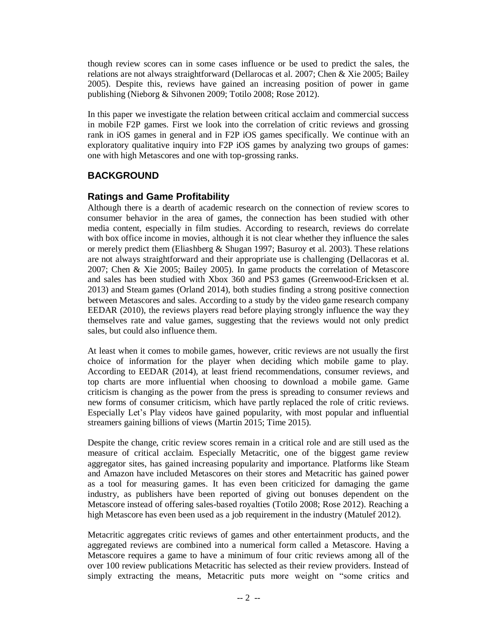though review scores can in some cases influence or be used to predict the sales, the relations are not always straightforward (Dellarocas et al. 2007; Chen & Xie 2005; Bailey 2005). Despite this, reviews have gained an increasing position of power in game publishing (Nieborg & Sihvonen 2009; Totilo 2008; Rose 2012).

In this paper we investigate the relation between critical acclaim and commercial success in mobile F2P games. First we look into the correlation of critic reviews and grossing rank in iOS games in general and in F2P iOS games specifically. We continue with an exploratory qualitative inquiry into F2P iOS games by analyzing two groups of games: one with high Metascores and one with top-grossing ranks.

## **BACKGROUND**

## **Ratings and Game Profitability**

Although there is a dearth of academic research on the connection of review scores to consumer behavior in the area of games, the connection has been studied with other media content, especially in film studies. According to research, reviews do correlate with box office income in movies, although it is not clear whether they influence the sales or merely predict them (Eliashberg  $&$  Shugan 1997; Basuroy et al. 2003). These relations are not always straightforward and their appropriate use is challenging (Dellacoras et al. 2007; Chen & Xie 2005; Bailey 2005). In game products the correlation of Metascore and sales has been studied with Xbox 360 and PS3 games (Greenwood-Ericksen et al. 2013) and Steam games (Orland 2014), both studies finding a strong positive connection between Metascores and sales. According to a study by the video game research company EEDAR (2010), the reviews players read before playing strongly influence the way they themselves rate and value games, suggesting that the reviews would not only predict sales, but could also influence them.

At least when it comes to mobile games, however, critic reviews are not usually the first choice of information for the player when deciding which mobile game to play. According to EEDAR (2014), at least friend recommendations, consumer reviews, and top charts are more influential when choosing to download a mobile game. Game criticism is changing as the power from the press is spreading to consumer reviews and new forms of consumer criticism, which have partly replaced the role of critic reviews. Especially Let's Play videos have gained popularity, with most popular and influential streamers gaining billions of views (Martin 2015; Time 2015).

Despite the change, critic review scores remain in a critical role and are still used as the measure of critical acclaim. Especially Metacritic, one of the biggest game review aggregator sites, has gained increasing popularity and importance. Platforms like Steam and Amazon have included Metascores on their stores and Metacritic has gained power as a tool for measuring games. It has even been criticized for damaging the game industry, as publishers have been reported of giving out bonuses dependent on the Metascore instead of offering sales-based royalties (Totilo 2008; Rose 2012). Reaching a high Metascore has even been used as a job requirement in the industry (Matulef 2012).

Metacritic aggregates critic reviews of games and other entertainment products, and the aggregated reviews are combined into a numerical form called a Metascore. Having a Metascore requires a game to have a minimum of four critic reviews among all of the over 100 review publications Metacritic has selected as their review providers. Instead of simply extracting the means, Metacritic puts more weight on "some critics and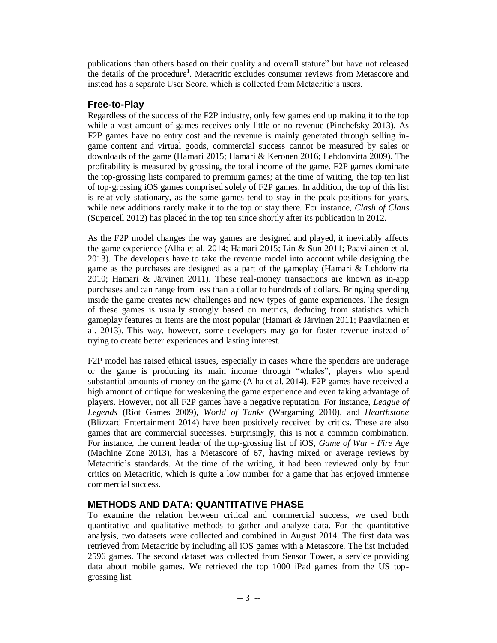publications than others based on their quality and overall stature" but have not released the details of the procedure<sup>1</sup>. Metacritic excludes consumer reviews from Metascore and instead has a separate User Score, which is collected from Metacritic's users.

#### **Free-to-Play**

Regardless of the success of the F2P industry, only few games end up making it to the top while a vast amount of games receives only little or no revenue (Pinchefsky 2013). As F2P games have no entry cost and the revenue is mainly generated through selling ingame content and virtual goods, commercial success cannot be measured by sales or downloads of the game (Hamari 2015; Hamari & Keronen 2016; Lehdonvirta 2009). The profitability is measured by grossing, the total income of the game. F2P games dominate the top-grossing lists compared to premium games; at the time of writing, the top ten list of top-grossing iOS games comprised solely of F2P games. In addition, the top of this list is relatively stationary, as the same games tend to stay in the peak positions for years, while new additions rarely make it to the top or stay there. For instance, *Clash of Clans* (Supercell 2012) has placed in the top ten since shortly after its publication in 2012.

As the F2P model changes the way games are designed and played, it inevitably affects the game experience (Alha et al. 2014; Hamari 2015; Lin & Sun 2011; Paavilainen et al. 2013). The developers have to take the revenue model into account while designing the game as the purchases are designed as a part of the gameplay (Hamari & Lehdonvirta 2010; Hamari & Järvinen 2011). These real-money transactions are known as in-app purchases and can range from less than a dollar to hundreds of dollars. Bringing spending inside the game creates new challenges and new types of game experiences. The design of these games is usually strongly based on metrics, deducing from statistics which gameplay features or items are the most popular (Hamari & Järvinen 2011; Paavilainen et al. 2013). This way, however, some developers may go for faster revenue instead of trying to create better experiences and lasting interest.

F2P model has raised ethical issues, especially in cases where the spenders are underage or the game is producing its main income through "whales", players who spend substantial amounts of money on the game (Alha et al. 2014). F2P games have received a high amount of critique for weakening the game experience and even taking advantage of players. However, not all F2P games have a negative reputation. For instance, *League of Legends* (Riot Games 2009), *World of Tanks* (Wargaming 2010), and *Hearthstone*  (Blizzard Entertainment 2014) have been positively received by critics. These are also games that are commercial successes. Surprisingly, this is not a common combination. For instance, the current leader of the top-grossing list of iOS, *Game of War - Fire Age* (Machine Zone 2013), has a Metascore of 67, having mixed or average reviews by Metacritic's standards. At the time of the writing, it had been reviewed only by four critics on Metacritic, which is quite a low number for a game that has enjoyed immense commercial success.

## **METHODS AND DATA: QUANTITATIVE PHASE**

To examine the relation between critical and commercial success, we used both quantitative and qualitative methods to gather and analyze data. For the quantitative analysis, two datasets were collected and combined in August 2014. The first data was retrieved from Metacritic by including all iOS games with a Metascore. The list included 2596 games. The second dataset was collected from Sensor Tower, a service providing data about mobile games. We retrieved the top 1000 iPad games from the US topgrossing list.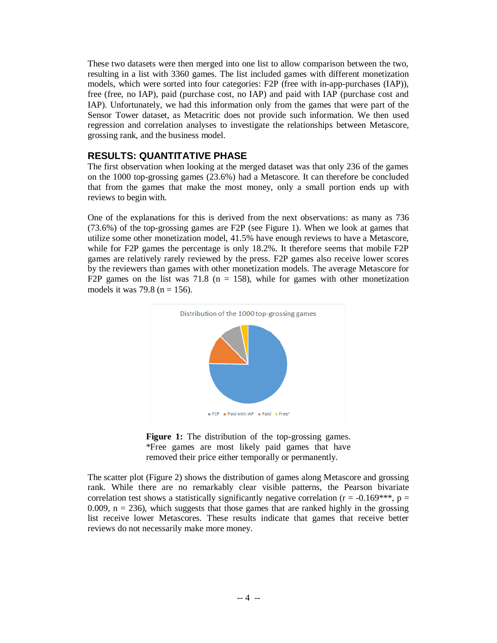These two datasets were then merged into one list to allow comparison between the two, resulting in a list with 3360 games. The list included games with different monetization models, which were sorted into four categories: F2P (free with in-app-purchases (IAP)), free (free, no IAP), paid (purchase cost, no IAP) and paid with IAP (purchase cost and IAP). Unfortunately, we had this information only from the games that were part of the Sensor Tower dataset, as Metacritic does not provide such information. We then used regression and correlation analyses to investigate the relationships between Metascore, grossing rank, and the business model.

## **RESULTS: QUANTITATIVE PHASE**

The first observation when looking at the merged dataset was that only 236 of the games on the 1000 top-grossing games (23.6%) had a Metascore. It can therefore be concluded that from the games that make the most money, only a small portion ends up with reviews to begin with.

One of the explanations for this is derived from the next observations: as many as 736 (73.6%) of the top-grossing games are F2P (see Figure 1). When we look at games that utilize some other monetization model, 41.5% have enough reviews to have a Metascore, while for F2P games the percentage is only 18.2%. It therefore seems that mobile F2P games are relatively rarely reviewed by the press. F2P games also receive lower scores by the reviewers than games with other monetization models. The average Metascore for F2P games on the list was 71.8 ( $n = 158$ ), while for games with other monetization models it was 79.8 ( $n = 156$ ).





The scatter plot (Figure 2) shows the distribution of games along Metascore and grossing rank. While there are no remarkably clear visible patterns, the Pearson bivariate correlation test shows a statistically significantly negative correlation ( $r = -0.169***$ ,  $p =$ 0.009,  $n = 236$ ), which suggests that those games that are ranked highly in the grossing list receive lower Metascores. These results indicate that games that receive better reviews do not necessarily make more money.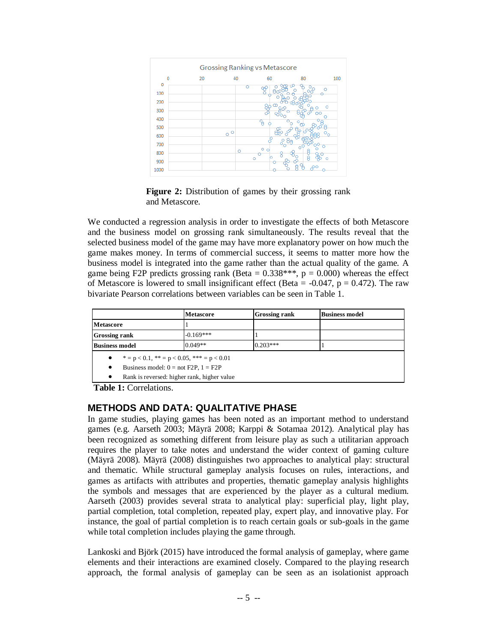

Figure 2: Distribution of games by their grossing rank and Metascore.

We conducted a regression analysis in order to investigate the effects of both Metascore and the business model on grossing rank simultaneously. The results reveal that the selected business model of the game may have more explanatory power on how much the game makes money. In terms of commercial success, it seems to matter more how the business model is integrated into the game rather than the actual quality of the game. A game being F2P predicts grossing rank (Beta =  $0.338***$ , p = 0.000) whereas the effect of Metascore is lowered to small insignificant effect (Beta =  $-0.047$ , p = 0.472). The raw bivariate Pearson correlations between variables can be seen in Table 1.

|                                                                                                       | Metascore                                   | <b>Grossing rank</b> | <b>Business model</b> |  |  |  |  |  |
|-------------------------------------------------------------------------------------------------------|---------------------------------------------|----------------------|-----------------------|--|--|--|--|--|
| <b>Metascore</b>                                                                                      |                                             |                      |                       |  |  |  |  |  |
| <b>Grossing rank</b>                                                                                  | $-0.169***$                                 |                      |                       |  |  |  |  |  |
| <b>Business model</b>                                                                                 | $0.049**$                                   | $0.203***$           |                       |  |  |  |  |  |
| • $* = p < 0.1, * = p < 0.05, * = p < 0.01$<br>Business model: $0 = not F2P$ , $1 = F2P$<br>$\bullet$ |                                             |                      |                       |  |  |  |  |  |
| $\bullet$                                                                                             | Rank is reversed: higher rank, higher value |                      |                       |  |  |  |  |  |

**Table 1:** Correlations.

## **METHODS AND DATA: QUALITATIVE PHASE**

In game studies, playing games has been noted as an important method to understand games (e.g. Aarseth 2003; Mäyrä 2008; Karppi & Sotamaa 2012). Analytical play has been recognized as something different from leisure play as such a utilitarian approach requires the player to take notes and understand the wider context of gaming culture (Mäyrä 2008). Mäyrä (2008) distinguishes two approaches to analytical play: structural and thematic. While structural gameplay analysis focuses on rules, interactions, and games as artifacts with attributes and properties, thematic gameplay analysis highlights the symbols and messages that are experienced by the player as a cultural medium. Aarseth (2003) provides several strata to analytical play: superficial play, light play, partial completion, total completion, repeated play, expert play, and innovative play. For instance, the goal of partial completion is to reach certain goals or sub-goals in the game while total completion includes playing the game through.

Lankoski and Björk (2015) have introduced the formal analysis of gameplay, where game elements and their interactions are examined closely. Compared to the playing research approach, the formal analysis of gameplay can be seen as an isolationist approach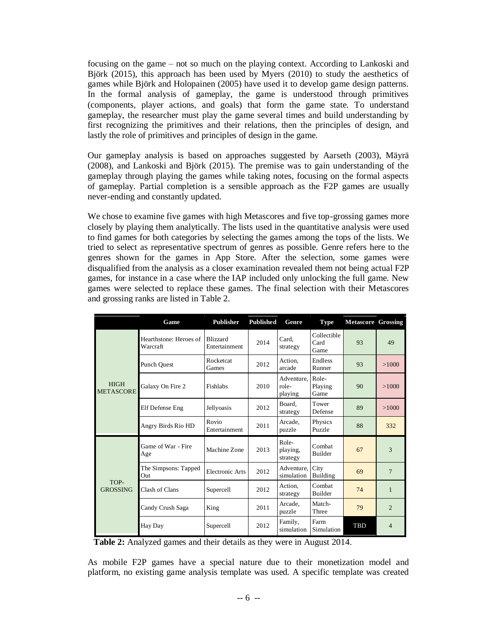focusing on the game – not so much on the playing context. According to Lankoski and Björk (2015), this approach has been used by Myers (2010) to study the aesthetics of games while Björk and Holopainen (2005) have used it to develop game design patterns. In the formal analysis of gameplay, the game is understood through primitives (components, player actions, and goals) that form the game state. To understand gameplay, the researcher must play the game several times and build understanding by first recognizing the primitives and their relations, then the principles of design, and lastly the role of primitives and principles of design in the game.

Our gameplay analysis is based on approaches suggested by Aarseth (2003), Mäyrä (2008), and Lankoski and Björk (2015). The premise was to gain understanding of the gameplay through playing the games while taking notes, focusing on the formal aspects of gameplay. Partial completion is a sensible approach as the F2P games are usually never-ending and constantly updated.

We chose to examine five games with high Metascores and five top-grossing games more closely by playing them analytically. The lists used in the quantitative analysis were used to find games for both categories by selecting the games among the tops of the lists. We tried to select as representative spectrum of genres as possible. Genre refers here to the genres shown for the games in App Store. After the selection, some games were disqualified from the analysis as a closer examination revealed them not being actual F2P games, for instance in a case where the IAP included only unlocking the full game. New games were selected to replace these games. The final selection with their Metascores and grossing ranks are listed in Table 2.

|                                 | Game                               | <b>Publisher</b>                 | <b>Published</b> | Genre                          | <b>Type</b>                 | <b>Metascore Grossing</b> |                |
|---------------------------------|------------------------------------|----------------------------------|------------------|--------------------------------|-----------------------------|---------------------------|----------------|
| <b>HIGH</b><br><b>METASCORE</b> | Hearthstone: Heroes of<br>Warcraft | <b>Blizzard</b><br>Entertainment | 2014             | Card,<br>strategy              | Collectible<br>Card<br>Game | 93                        | 49             |
|                                 | <b>Punch Ouest</b>                 | <b>Rocketcat</b><br>Games        | 2012             | Action.<br>arcade              | Endless<br>Runner           | 93                        | >1000          |
|                                 | Galaxy On Fire 2                   | Fishlabs                         | 2010             | Adventure,<br>role-<br>playing | Role-<br>Playing<br>Game    | 90                        | >1000          |
|                                 | Elf Defense Eng                    | Jellyoasis                       | 2012             | Board.<br>strategy             | Tower<br>Defense            | 89                        | >1000          |
|                                 | Angry Birds Rio HD                 | Rovio<br>Entertainment           | 2011             | Arcade.<br>puzzle              | Physics<br>Puzzle           | 88                        | 332            |
| TOP-<br><b>GROSSING</b>         | Game of War - Fire<br>Age          | Machine Zone                     | 2013             | Role-<br>playing,<br>strategy  | Combat<br><b>Builder</b>    | 67                        | 3              |
|                                 | The Simpsons: Tapped<br>Out        | <b>Electronic Arts</b>           | 2012             | Adventure.<br>simulation       | City<br>Building            | 69                        | $\overline{7}$ |
|                                 | Clash of Clans                     | Supercell                        | 2012             | Action,<br>strategy            | Combat<br><b>Builder</b>    | 74                        | 1              |
|                                 | Candy Crush Saga                   | King                             | 2011             | Arcade.<br>puzzle              | Match-<br>Three             | 79                        | $\overline{c}$ |
|                                 | Hay Day                            | Supercell                        | 2012             | Family,<br>simulation          | Farm<br>Simulation          | TBD                       | $\overline{4}$ |

**Table 2:** Analyzed games and their details as they were in August 2014.

As mobile F2P games have a special nature due to their monetization model and platform, no existing game analysis template was used. A specific template was created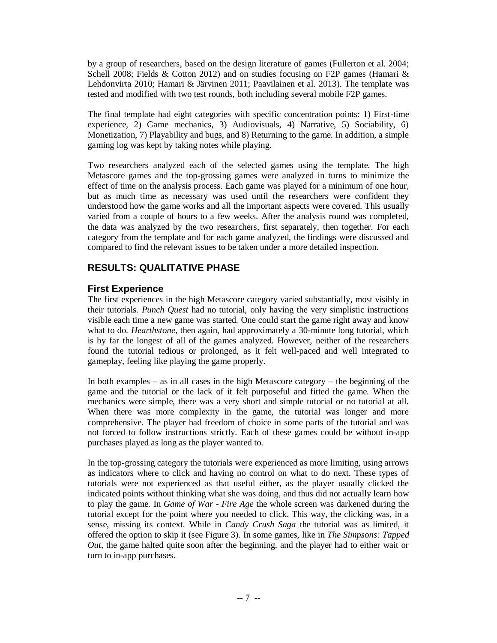by a group of researchers, based on the design literature of games (Fullerton et al. 2004; Schell 2008; Fields & Cotton 2012) and on studies focusing on F2P games (Hamari & Lehdonvirta 2010; Hamari & Järvinen 2011; Paavilainen et al. 2013). The template was tested and modified with two test rounds, both including several mobile F2P games.

The final template had eight categories with specific concentration points: 1) First-time experience, 2) Game mechanics, 3) Audiovisuals, 4) Narrative, 5) Sociability, 6) Monetization, 7) Playability and bugs, and 8) Returning to the game. In addition, a simple gaming log was kept by taking notes while playing.

Two researchers analyzed each of the selected games using the template. The high Metascore games and the top-grossing games were analyzed in turns to minimize the effect of time on the analysis process. Each game was played for a minimum of one hour, but as much time as necessary was used until the researchers were confident they understood how the game works and all the important aspects were covered. This usually varied from a couple of hours to a few weeks. After the analysis round was completed, the data was analyzed by the two researchers, first separately, then together. For each category from the template and for each game analyzed, the findings were discussed and compared to find the relevant issues to be taken under a more detailed inspection.

## **RESULTS: QUALITATIVE PHASE**

## **First Experience**

The first experiences in the high Metascore category varied substantially, most visibly in their tutorials. *Punch Quest* had no tutorial, only having the very simplistic instructions visible each time a new game was started. One could start the game right away and know what to do. *Hearthstone*, then again, had approximately a 30-minute long tutorial, which is by far the longest of all of the games analyzed. However, neither of the researchers found the tutorial tedious or prolonged, as it felt well-paced and well integrated to gameplay, feeling like playing the game properly.

In both examples – as in all cases in the high Metascore category – the beginning of the game and the tutorial or the lack of it felt purposeful and fitted the game. When the mechanics were simple, there was a very short and simple tutorial or no tutorial at all. When there was more complexity in the game, the tutorial was longer and more comprehensive. The player had freedom of choice in some parts of the tutorial and was not forced to follow instructions strictly. Each of these games could be without in-app purchases played as long as the player wanted to.

In the top-grossing category the tutorials were experienced as more limiting, using arrows as indicators where to click and having no control on what to do next. These types of tutorials were not experienced as that useful either, as the player usually clicked the indicated points without thinking what she was doing, and thus did not actually learn how to play the game. In *Game of War - Fire Age* the whole screen was darkened during the tutorial except for the point where you needed to click. This way, the clicking was, in a sense, missing its context. While in *Candy Crush Saga* the tutorial was as limited, it offered the option to skip it (see Figure 3). In some games, like in *The Simpsons: Tapped Out*, the game halted quite soon after the beginning, and the player had to either wait or turn to in-app purchases.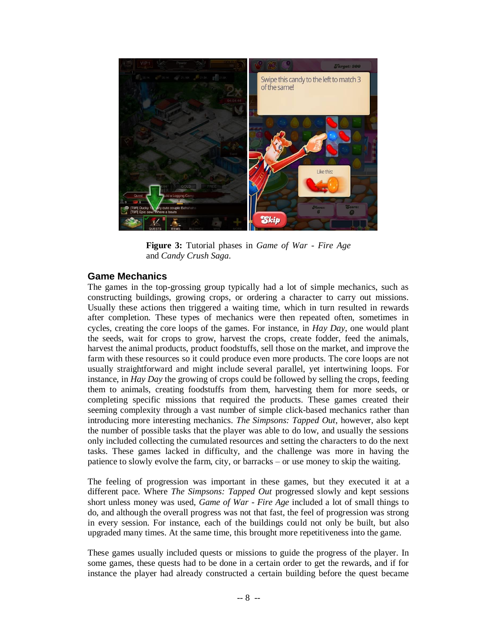

**Figure 3:** Tutorial phases in *Game of War - Fire Age* and *Candy Crush Saga*.

#### **Game Mechanics**

The games in the top-grossing group typically had a lot of simple mechanics, such as constructing buildings, growing crops, or ordering a character to carry out missions. Usually these actions then triggered a waiting time, which in turn resulted in rewards after completion. These types of mechanics were then repeated often, sometimes in cycles, creating the core loops of the games. For instance, in *Hay Day*, one would plant the seeds, wait for crops to grow, harvest the crops, create fodder, feed the animals, harvest the animal products, product foodstuffs, sell those on the market, and improve the farm with these resources so it could produce even more products. The core loops are not usually straightforward and might include several parallel, yet intertwining loops. For instance, in *Hay Day* the growing of crops could be followed by selling the crops, feeding them to animals, creating foodstuffs from them, harvesting them for more seeds, or completing specific missions that required the products. These games created their seeming complexity through a vast number of simple click-based mechanics rather than introducing more interesting mechanics. *The Simpsons: Tapped Out*, however, also kept the number of possible tasks that the player was able to do low, and usually the sessions only included collecting the cumulated resources and setting the characters to do the next tasks. These games lacked in difficulty, and the challenge was more in having the patience to slowly evolve the farm, city, or barracks – or use money to skip the waiting.

The feeling of progression was important in these games, but they executed it at a different pace. Where *The Simpsons: Tapped Out* progressed slowly and kept sessions short unless money was used, *Game of War - Fire Age* included a lot of small things to do, and although the overall progress was not that fast, the feel of progression was strong in every session. For instance, each of the buildings could not only be built, but also upgraded many times. At the same time, this brought more repetitiveness into the game.

These games usually included quests or missions to guide the progress of the player. In some games, these quests had to be done in a certain order to get the rewards, and if for instance the player had already constructed a certain building before the quest became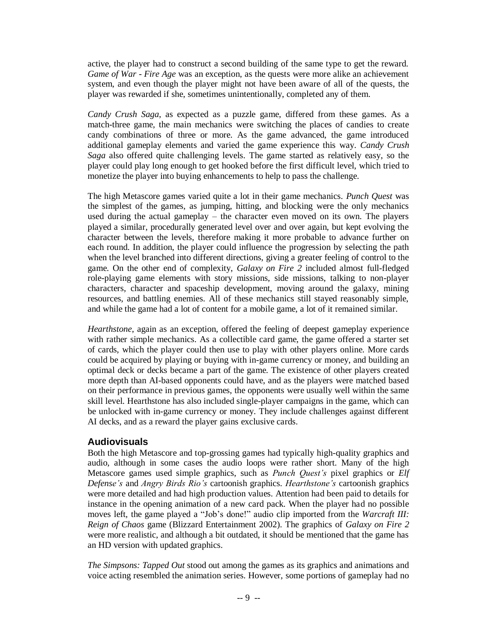active, the player had to construct a second building of the same type to get the reward. *Game of War - Fire Age* was an exception, as the quests were more alike an achievement system, and even though the player might not have been aware of all of the quests, the player was rewarded if she, sometimes unintentionally, completed any of them.

*Candy Crush Saga*, as expected as a puzzle game, differed from these games. As a match-three game, the main mechanics were switching the places of candies to create candy combinations of three or more. As the game advanced, the game introduced additional gameplay elements and varied the game experience this way. *Candy Crush Saga* also offered quite challenging levels. The game started as relatively easy, so the player could play long enough to get hooked before the first difficult level, which tried to monetize the player into buying enhancements to help to pass the challenge.

The high Metascore games varied quite a lot in their game mechanics. *Punch Quest* was the simplest of the games, as jumping, hitting, and blocking were the only mechanics used during the actual gameplay – the character even moved on its own. The players played a similar, procedurally generated level over and over again, but kept evolving the character between the levels, therefore making it more probable to advance further on each round. In addition, the player could influence the progression by selecting the path when the level branched into different directions, giving a greater feeling of control to the game. On the other end of complexity, *Galaxy on Fire 2* included almost full-fledged role-playing game elements with story missions, side missions, talking to non-player characters, character and spaceship development, moving around the galaxy, mining resources, and battling enemies. All of these mechanics still stayed reasonably simple, and while the game had a lot of content for a mobile game, a lot of it remained similar.

*Hearthstone*, again as an exception, offered the feeling of deepest gameplay experience with rather simple mechanics. As a collectible card game, the game offered a starter set of cards, which the player could then use to play with other players online. More cards could be acquired by playing or buying with in-game currency or money, and building an optimal deck or decks became a part of the game. The existence of other players created more depth than AI-based opponents could have, and as the players were matched based on their performance in previous games, the opponents were usually well within the same skill level. Hearthstone has also included single-player campaigns in the game, which can be unlocked with in-game currency or money. They include challenges against different AI decks, and as a reward the player gains exclusive cards.

#### **Audiovisuals**

Both the high Metascore and top-grossing games had typically high-quality graphics and audio, although in some cases the audio loops were rather short. Many of the high Metascore games used simple graphics, such as *Punch Quest's* pixel graphics or *Elf Defense's* and *Angry Birds Rio's* cartoonish graphics. *Hearthstone's* cartoonish graphics were more detailed and had high production values. Attention had been paid to details for instance in the opening animation of a new card pack. When the player had no possible moves left, the game played a "Job's done!" audio clip imported from the *Warcraft III: Reign of Chaos* game (Blizzard Entertainment 2002). The graphics of *Galaxy on Fire 2* were more realistic, and although a bit outdated, it should be mentioned that the game has an HD version with updated graphics.

*The Simpsons: Tapped Out* stood out among the games as its graphics and animations and voice acting resembled the animation series. However, some portions of gameplay had no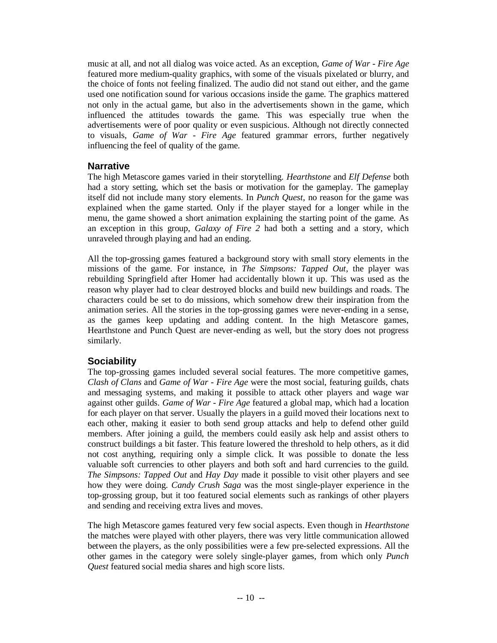music at all, and not all dialog was voice acted. As an exception, *Game of War - Fire Age* featured more medium-quality graphics, with some of the visuals pixelated or blurry, and the choice of fonts not feeling finalized. The audio did not stand out either, and the game used one notification sound for various occasions inside the game. The graphics mattered not only in the actual game, but also in the advertisements shown in the game, which influenced the attitudes towards the game. This was especially true when the advertisements were of poor quality or even suspicious. Although not directly connected to visuals, *Game of War - Fire Age* featured grammar errors, further negatively influencing the feel of quality of the game.

## **Narrative**

The high Metascore games varied in their storytelling. *Hearthstone* and *Elf Defense* both had a story setting, which set the basis or motivation for the gameplay. The gameplay itself did not include many story elements. In *Punch Quest*, no reason for the game was explained when the game started. Only if the player stayed for a longer while in the menu, the game showed a short animation explaining the starting point of the game. As an exception in this group, *Galaxy of Fire 2* had both a setting and a story, which unraveled through playing and had an ending.

All the top-grossing games featured a background story with small story elements in the missions of the game. For instance, in *The Simpsons: Tapped Out*, the player was rebuilding Springfield after Homer had accidentally blown it up. This was used as the reason why player had to clear destroyed blocks and build new buildings and roads. The characters could be set to do missions, which somehow drew their inspiration from the animation series. All the stories in the top-grossing games were never-ending in a sense, as the games keep updating and adding content. In the high Metascore games, Hearthstone and Punch Quest are never-ending as well, but the story does not progress similarly.

## **Sociability**

The top-grossing games included several social features. The more competitive games, *Clash of Clans* and *Game of War - Fire Age* were the most social, featuring guilds, chats and messaging systems, and making it possible to attack other players and wage war against other guilds. *Game of War - Fire Age* featured a global map, which had a location for each player on that server. Usually the players in a guild moved their locations next to each other, making it easier to both send group attacks and help to defend other guild members. After joining a guild, the members could easily ask help and assist others to construct buildings a bit faster. This feature lowered the threshold to help others, as it did not cost anything, requiring only a simple click. It was possible to donate the less valuable soft currencies to other players and both soft and hard currencies to the guild. *The Simpsons: Tapped Out* and *Hay Day* made it possible to visit other players and see how they were doing. *Candy Crush Saga* was the most single-player experience in the top-grossing group, but it too featured social elements such as rankings of other players and sending and receiving extra lives and moves.

The high Metascore games featured very few social aspects. Even though in *Hearthstone* the matches were played with other players, there was very little communication allowed between the players, as the only possibilities were a few pre-selected expressions. All the other games in the category were solely single-player games, from which only *Punch Quest* featured social media shares and high score lists.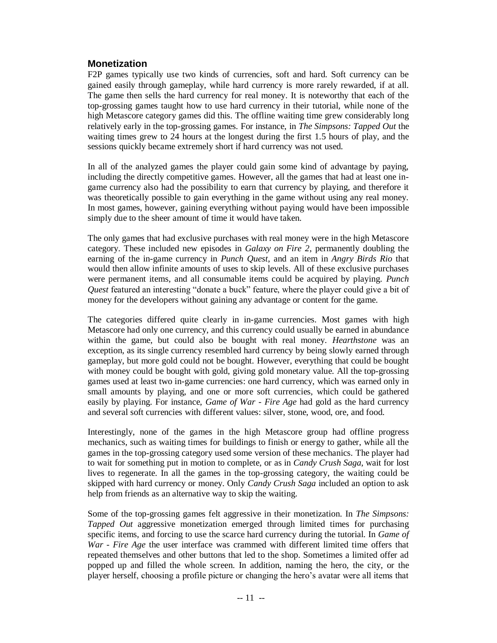### **Monetization**

F2P games typically use two kinds of currencies, soft and hard. Soft currency can be gained easily through gameplay, while hard currency is more rarely rewarded, if at all. The game then sells the hard currency for real money. It is noteworthy that each of the top-grossing games taught how to use hard currency in their tutorial, while none of the high Metascore category games did this. The offline waiting time grew considerably long relatively early in the top-grossing games. For instance, in *The Simpsons: Tapped Out* the waiting times grew to 24 hours at the longest during the first 1.5 hours of play, and the sessions quickly became extremely short if hard currency was not used.

In all of the analyzed games the player could gain some kind of advantage by paying, including the directly competitive games. However, all the games that had at least one ingame currency also had the possibility to earn that currency by playing, and therefore it was theoretically possible to gain everything in the game without using any real money. In most games, however, gaining everything without paying would have been impossible simply due to the sheer amount of time it would have taken.

The only games that had exclusive purchases with real money were in the high Metascore category. These included new episodes in *Galaxy on Fire 2*, permanently doubling the earning of the in-game currency in *Punch Quest*, and an item in *Angry Birds Rio* that would then allow infinite amounts of uses to skip levels. All of these exclusive purchases were permanent items, and all consumable items could be acquired by playing. *Punch Quest* featured an interesting "donate a buck" feature, where the player could give a bit of money for the developers without gaining any advantage or content for the game.

The categories differed quite clearly in in-game currencies. Most games with high Metascore had only one currency, and this currency could usually be earned in abundance within the game, but could also be bought with real money. *Hearthstone* was an exception, as its single currency resembled hard currency by being slowly earned through gameplay, but more gold could not be bought. However, everything that could be bought with money could be bought with gold, giving gold monetary value. All the top-grossing games used at least two in-game currencies: one hard currency, which was earned only in small amounts by playing, and one or more soft currencies, which could be gathered easily by playing. For instance, *Game of War - Fire Age* had gold as the hard currency and several soft currencies with different values: silver, stone, wood, ore, and food.

Interestingly, none of the games in the high Metascore group had offline progress mechanics, such as waiting times for buildings to finish or energy to gather, while all the games in the top-grossing category used some version of these mechanics. The player had to wait for something put in motion to complete, or as in *Candy Crush Saga*, wait for lost lives to regenerate. In all the games in the top-grossing category, the waiting could be skipped with hard currency or money. Only *Candy Crush Saga* included an option to ask help from friends as an alternative way to skip the waiting.

Some of the top-grossing games felt aggressive in their monetization. In *The Simpsons: Tapped Out* aggressive monetization emerged through limited times for purchasing specific items, and forcing to use the scarce hard currency during the tutorial. In *Game of War - Fire Age* the user interface was crammed with different limited time offers that repeated themselves and other buttons that led to the shop. Sometimes a limited offer ad popped up and filled the whole screen. In addition, naming the hero, the city, or the player herself, choosing a profile picture or changing the hero's avatar were all items that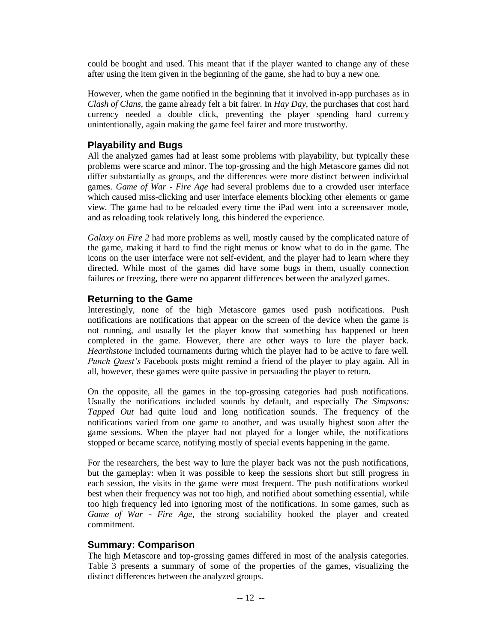could be bought and used. This meant that if the player wanted to change any of these after using the item given in the beginning of the game, she had to buy a new one.

However, when the game notified in the beginning that it involved in-app purchases as in *Clash of Clans*, the game already felt a bit fairer. In *Hay Day*, the purchases that cost hard currency needed a double click, preventing the player spending hard currency unintentionally, again making the game feel fairer and more trustworthy.

## **Playability and Bugs**

All the analyzed games had at least some problems with playability, but typically these problems were scarce and minor. The top-grossing and the high Metascore games did not differ substantially as groups, and the differences were more distinct between individual games. *Game of War - Fire Age* had several problems due to a crowded user interface which caused miss-clicking and user interface elements blocking other elements or game view. The game had to be reloaded every time the iPad went into a screensaver mode, and as reloading took relatively long, this hindered the experience.

*Galaxy on Fire 2* had more problems as well, mostly caused by the complicated nature of the game, making it hard to find the right menus or know what to do in the game. The icons on the user interface were not self-evident, and the player had to learn where they directed. While most of the games did have some bugs in them, usually connection failures or freezing, there were no apparent differences between the analyzed games.

#### **Returning to the Game**

Interestingly, none of the high Metascore games used push notifications. Push notifications are notifications that appear on the screen of the device when the game is not running, and usually let the player know that something has happened or been completed in the game. However, there are other ways to lure the player back. *Hearthstone* included tournaments during which the player had to be active to fare well. *Punch Quest's* Facebook posts might remind a friend of the player to play again. All in all, however, these games were quite passive in persuading the player to return.

On the opposite, all the games in the top-grossing categories had push notifications. Usually the notifications included sounds by default, and especially *The Simpsons: Tapped Out* had quite loud and long notification sounds. The frequency of the notifications varied from one game to another, and was usually highest soon after the game sessions. When the player had not played for a longer while, the notifications stopped or became scarce, notifying mostly of special events happening in the game.

For the researchers, the best way to lure the player back was not the push notifications, but the gameplay: when it was possible to keep the sessions short but still progress in each session, the visits in the game were most frequent. The push notifications worked best when their frequency was not too high, and notified about something essential, while too high frequency led into ignoring most of the notifications. In some games, such as *Game of War - Fire Age*, the strong sociability hooked the player and created commitment.

## **Summary: Comparison**

The high Metascore and top-grossing games differed in most of the analysis categories. Table 3 presents a summary of some of the properties of the games, visualizing the distinct differences between the analyzed groups.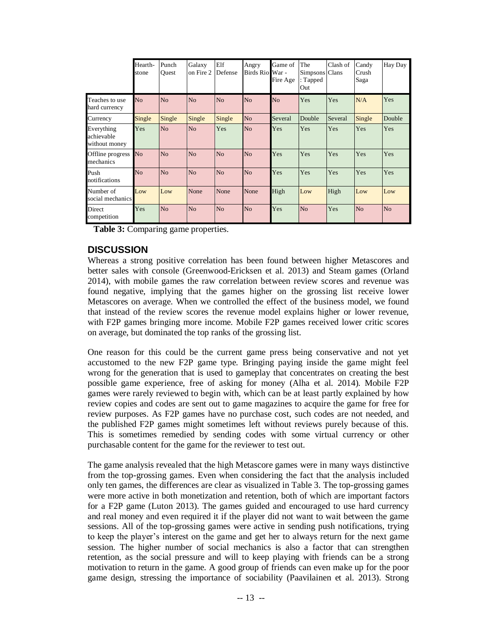|                                           | Hearth-<br>stone | Punch<br>Ouest | Galaxy<br>on Fire 2 | Elf<br>Defense | Angry<br>Birds Rio War - | Game of<br>Fire Age | The<br>Simpsons Clans<br>$:$ Tapped<br>Out | Clash of | Candy<br>Crush<br>Saga | Hay Day        |
|-------------------------------------------|------------------|----------------|---------------------|----------------|--------------------------|---------------------|--------------------------------------------|----------|------------------------|----------------|
| Teaches to use<br>hard currency           | N <sub>o</sub>   | No             | N <sub>o</sub>      | No             | N <sub>o</sub>           | No                  | Yes                                        | Yes      | N/A                    | Yes            |
| Currency                                  | Single           | Single         | Single              | Single         | N <sub>o</sub>           | Several             | Double                                     | Several  | Single                 | Double         |
| Everything<br>achievable<br>without money | Yes              | N <sub>o</sub> | N <sub>o</sub>      | Yes            | N <sub>o</sub>           | Yes                 | Yes                                        | Yes      | Yes                    | Yes            |
| Offline progress<br>mechanics             | N <sub>o</sub>   | N <sub>o</sub> | N <sub>o</sub>      | N <sub>o</sub> | N <sub>o</sub>           | Yes                 | Yes                                        | Yes      | Yes                    | Yes            |
| Push<br>notifications                     | N <sub>o</sub>   | N <sub>o</sub> | N <sub>o</sub>      | N <sub>o</sub> | N <sub>o</sub>           | Yes                 | Yes                                        | Yes      | Yes                    | Yes            |
| Number of<br>social mechanics             | Low              | Low            | None                | None           | None                     | High                | Low                                        | High     | Low                    | Low            |
| Direct<br>competition                     | Yes              | N <sub>o</sub> | N <sub>o</sub>      | N <sub>o</sub> | N <sub>o</sub>           | Yes                 | N <sub>o</sub>                             | Yes      | N <sub>o</sub>         | N <sub>o</sub> |

**Table 3:** Comparing game properties.

#### **DISCUSSION**

Whereas a strong positive correlation has been found between higher Metascores and better sales with console (Greenwood-Ericksen et al. 2013) and Steam games (Orland 2014), with mobile games the raw correlation between review scores and revenue was found negative, implying that the games higher on the grossing list receive lower Metascores on average. When we controlled the effect of the business model, we found that instead of the review scores the revenue model explains higher or lower revenue, with F2P games bringing more income. Mobile F2P games received lower critic scores on average, but dominated the top ranks of the grossing list.

One reason for this could be the current game press being conservative and not yet accustomed to the new F2P game type. Bringing paying inside the game might feel wrong for the generation that is used to gameplay that concentrates on creating the best possible game experience, free of asking for money (Alha et al. 2014). Mobile F2P games were rarely reviewed to begin with, which can be at least partly explained by how review copies and codes are sent out to game magazines to acquire the game for free for review purposes. As F2P games have no purchase cost, such codes are not needed, and the published F2P games might sometimes left without reviews purely because of this. This is sometimes remedied by sending codes with some virtual currency or other purchasable content for the game for the reviewer to test out.

The game analysis revealed that the high Metascore games were in many ways distinctive from the top-grossing games. Even when considering the fact that the analysis included only ten games, the differences are clear as visualized in Table 3. The top-grossing games were more active in both monetization and retention, both of which are important factors for a F2P game (Luton 2013). The games guided and encouraged to use hard currency and real money and even required it if the player did not want to wait between the game sessions. All of the top-grossing games were active in sending push notifications, trying to keep the player's interest on the game and get her to always return for the next game session. The higher number of social mechanics is also a factor that can strengthen retention, as the social pressure and will to keep playing with friends can be a strong motivation to return in the game. A good group of friends can even make up for the poor game design, stressing the importance of sociability (Paavilainen et al. 2013). Strong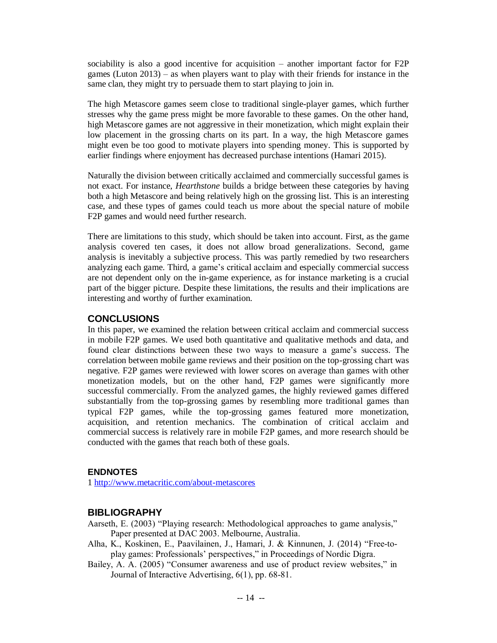sociability is also a good incentive for acquisition – another important factor for F2P games (Luton 2013) – as when players want to play with their friends for instance in the same clan, they might try to persuade them to start playing to join in.

The high Metascore games seem close to traditional single-player games, which further stresses why the game press might be more favorable to these games. On the other hand, high Metascore games are not aggressive in their monetization, which might explain their low placement in the grossing charts on its part. In a way, the high Metascore games might even be too good to motivate players into spending money. This is supported by earlier findings where enjoyment has decreased purchase intentions (Hamari 2015).

Naturally the division between critically acclaimed and commercially successful games is not exact. For instance, *Hearthstone* builds a bridge between these categories by having both a high Metascore and being relatively high on the grossing list. This is an interesting case, and these types of games could teach us more about the special nature of mobile F2P games and would need further research.

There are limitations to this study, which should be taken into account. First, as the game analysis covered ten cases, it does not allow broad generalizations. Second, game analysis is inevitably a subjective process. This was partly remedied by two researchers analyzing each game. Third, a game's critical acclaim and especially commercial success are not dependent only on the in-game experience, as for instance marketing is a crucial part of the bigger picture. Despite these limitations, the results and their implications are interesting and worthy of further examination.

#### **CONCLUSIONS**

In this paper, we examined the relation between critical acclaim and commercial success in mobile F2P games. We used both quantitative and qualitative methods and data, and found clear distinctions between these two ways to measure a game's success. The correlation between mobile game reviews and their position on the top-grossing chart was negative. F2P games were reviewed with lower scores on average than games with other monetization models, but on the other hand, F2P games were significantly more successful commercially. From the analyzed games, the highly reviewed games differed substantially from the top-grossing games by resembling more traditional games than typical F2P games, while the top-grossing games featured more monetization, acquisition, and retention mechanics. The combination of critical acclaim and commercial success is relatively rare in mobile F2P games, and more research should be conducted with the games that reach both of these goals.

#### **ENDNOTES**

1 <http://www.metacritic.com/about-metascores>

## **BIBLIOGRAPHY**

Aarseth, E. (2003) "Playing research: Methodological approaches to game analysis," Paper presented at DAC 2003. Melbourne, Australia.

- Alha, K., Koskinen, E., Paavilainen, J., Hamari, J. & Kinnunen, J. (2014) "Free-toplay games: Professionals' perspectives," in Proceedings of Nordic Digra.
- Bailey, A. A. (2005) "Consumer awareness and use of product review websites," in Journal of Interactive Advertising, 6(1), pp. 68-81.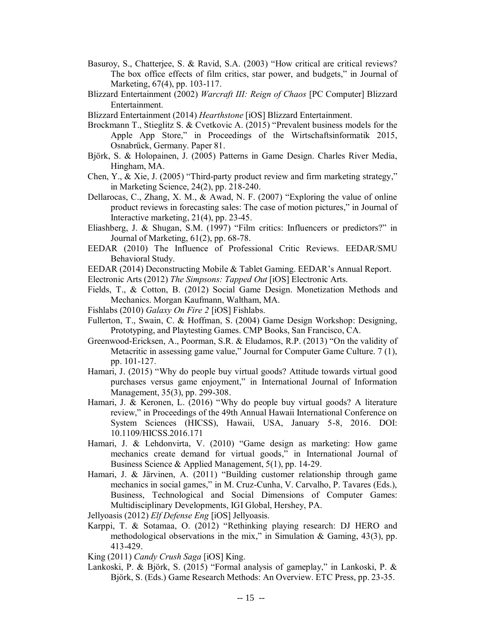- Basuroy, S., Chatterjee, S. & Ravid, S.A. (2003) "How critical are critical reviews? The box office effects of film critics, star power, and budgets," in Journal of Marketing, 67(4), pp. 103-117.
- Blizzard Entertainment (2002) *Warcraft III: Reign of Chaos* [PC Computer] Blizzard Entertainment.

Blizzard Entertainment (2014) *Hearthstone* [iOS] Blizzard Entertainment.

- Brockmann T., Stieglitz S. & Cvetkovic A. (2015) "Prevalent business models for the Apple App Store," in Proceedings of the Wirtschaftsinformatik 2015, Osnabrück, Germany. Paper 81.
- Björk, S. & Holopainen, J. (2005) Patterns in Game Design. Charles River Media, Hingham, MA.
- Chen, Y., & Xie, J. (2005) "Third-party product review and firm marketing strategy," in Marketing Science, 24(2), pp. 218-240.
- Dellarocas, C., Zhang, X. M., & Awad, N. F. (2007) "Exploring the value of online product reviews in forecasting sales: The case of motion pictures," in Journal of Interactive marketing, 21(4), pp. 23-45.
- Eliashberg, J. & Shugan, S.M. (1997) "Film critics: Influencers or predictors?" in Journal of Marketing, 61(2), pp. 68-78.
- EEDAR (2010) The Influence of Professional Critic Reviews. EEDAR/SMU Behavioral Study.
- EEDAR (2014) Deconstructing Mobile & Tablet Gaming. EEDAR's Annual Report.
- Electronic Arts (2012) *The Simpsons: Tapped Out* [iOS] Electronic Arts.
- Fields, T., & Cotton, B. (2012) Social Game Design. Monetization Methods and Mechanics. Morgan Kaufmann, Waltham, MA.
- Fishlabs (2010) *Galaxy On Fire 2* [iOS] Fishlabs.
- Fullerton, T., Swain, C. & Hoffman, S. (2004) Game Design Workshop: Designing, Prototyping, and Playtesting Games. CMP Books, San Francisco, CA.
- Greenwood-Ericksen, A., Poorman, S.R. & Eludamos, R.P. (2013) "On the validity of Metacritic in assessing game value," Journal for Computer Game Culture. 7 (1), pp. 101-127.
- Hamari, J. (2015) "Why do people buy virtual goods? Attitude towards virtual good purchases versus game enjoyment," in International Journal of Information Management, 35(3), pp. 299-308.
- Hamari, J. & Keronen, L. (2016) "Why do people buy virtual goods? A literature review," in Proceedings of the 49th Annual Hawaii International Conference on System Sciences (HICSS), Hawaii, USA, January 5-8, 2016. DOI: 10.1109/HICSS.2016.171
- Hamari, J. & Lehdonvirta, V. (2010) "Game design as marketing: How game mechanics create demand for virtual goods," in International Journal of Business Science & Applied Management, 5(1), pp. 14-29.
- Hamari, J. & Järvinen, A. (2011) "Building customer relationship through game mechanics in social games," in M. Cruz-Cunha, V. Carvalho, P. Tavares (Eds.), Business, Technological and Social Dimensions of Computer Games: Multidisciplinary Developments, IGI Global, Hershey, PA.

Jellyoasis (2012) *Elf Defense Eng* [iOS] Jellyoasis.

Karppi, T. & Sotamaa, O. (2012) "Rethinking playing research: DJ HERO and methodological observations in the mix," in Simulation & Gaming,  $43(3)$ , pp. 413-429.

King (2011) *Candy Crush Saga* [iOS] King.

Lankoski, P. & Björk, S. (2015) "Formal analysis of gameplay," in Lankoski, P. & Björk, S. (Eds.) Game Research Methods: An Overview. ETC Press, pp. 23-35.